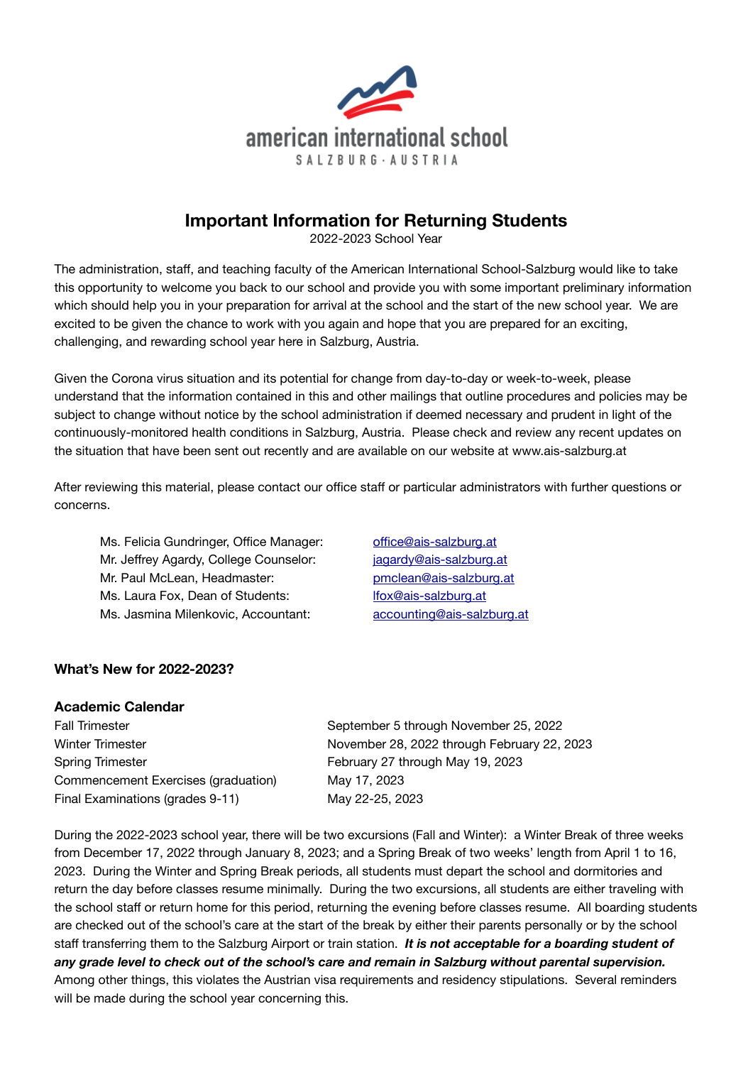

# **Important Information for Returning Students**

2022-2023 School Year

The administration, staff, and teaching faculty of the American International School-Salzburg would like to take this opportunity to welcome you back to our school and provide you with some important preliminary information which should help you in your preparation for arrival at the school and the start of the new school year. We are excited to be given the chance to work with you again and hope that you are prepared for an exciting, challenging, and rewarding school year here in Salzburg, Austria.

Given the Corona virus situation and its potential for change from day-to-day or week-to-week, please understand that the information contained in this and other mailings that outline procedures and policies may be subject to change without notice by the school administration if deemed necessary and prudent in light of the continuously-monitored health conditions in Salzburg, Austria. Please check and review any recent updates on the situation that have been sent out recently and are available on our website at www.ais-salzburg.at

After reviewing this material, please contact our office staff or particular administrators with further questions or concerns.

Ms. Felicia Gundringer, Office Manager: offi[ce@ais-salzburg.at](mailto:office@ais-salzburg.at) Mr. Jeffrey Agardy, College Counselor: *iggardy@ais-salzburg.at* Mr. Paul McLean, Headmaster: *[pmclean@ais-salzburg.at](mailto:pmclean@ais-salzburg.at)* Ms. Laura Fox, Dean of Students: *Michael Students* [lfox@ais-salzburg.at](mailto:lfox@ais-salzburg.at) Ms. Jasmina Milenkovic, Accountant: [accounting@ais-salzburg.at](mailto:accounting@ais-salzburg.at)

## **What's New for 2022-2023?**

#### **Academic Calendar**

Fall Trimester **Example 25, 2022** September 5 through November 25, 2022 Spring Trimester **Supering Trimester Contract Contract Contract Contract Contract Contract Contract Contract Contract Contract Contract Contract Contract Contract Contract Contract Contract Contract Contract Contract Con** Commencement Exercises (graduation) May 17, 2023 Final Examinations (grades 9-11) May 22-25, 2023

Winter Trimester **Michael Communist Communist Communist Communist Communist Communist Communist Communist Communist Communist Communist Communist Communist Communist Communist Communist Communist Communist Communist Commun** 

During the 2022-2023 school year, there will be two excursions (Fall and Winter): a Winter Break of three weeks from December 17, 2022 through January 8, 2023; and a Spring Break of two weeks' length from April 1 to 16, 2023. During the Winter and Spring Break periods, all students must depart the school and dormitories and return the day before classes resume minimally. During the two excursions, all students are either traveling with the school staff or return home for this period, returning the evening before classes resume. All boarding students are checked out of the school's care at the start of the break by either their parents personally or by the school staff transferring them to the Salzburg Airport or train station. *It is not acceptable for a boarding student of any grade level to check out of the school's care and remain in Salzburg without parental supervision.*  Among other things, this violates the Austrian visa requirements and residency stipulations. Several reminders will be made during the school year concerning this.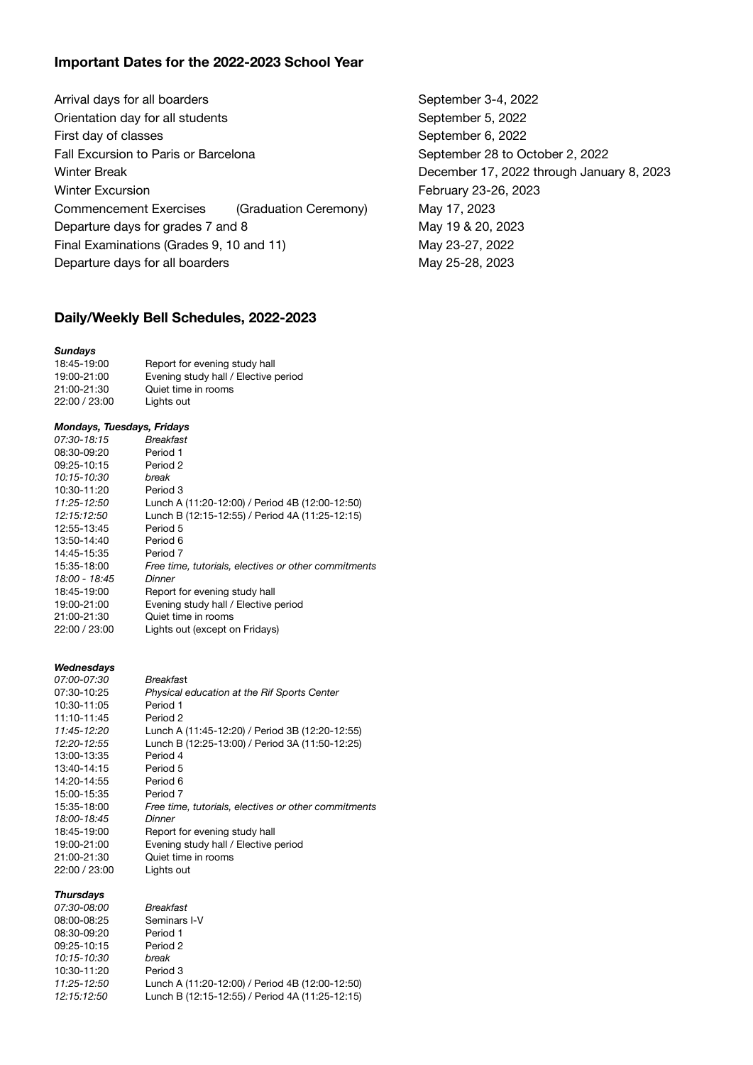## **Important Dates for the 2022-2023 School Year**

Arrival days for all boarders **by September 3-4, 2022** Orientation day for all students **September 5, 2022** September 5, 2022 First day of classes **September 6, 2022** Fall Excursion to Paris or Barcelona **being the September 28** to October 2, 2022 Winter Break **Winter Break CONFIDENTIAL CONFIDENTIAL CONFIDENTIAL CONFIDENTIAL December 17, 2022 through January 8, 2023** Winter Excursion **Winter Excursion COVER 1999 February 23-26, 2023** Commencement Exercises (Graduation Ceremony) May 17, 2023 Departure days for grades 7 and 8 May 19 & 20, 2023 Final Examinations (Grades 9, 10 and 11) May 23-27, 2022 Departure days for all boarders Way 25-28, 2023

#### **Daily/Weekly Bell Schedules, 2022-2023**

#### *Sundays*

| 18:45-19:00   | Report for evening study hall        |
|---------------|--------------------------------------|
| 19:00-21:00   | Evening study hall / Elective period |
| 21:00-21:30   | Quiet time in rooms                  |
| 22:00 / 23:00 | Lights out                           |

#### *Mondays, Tuesdays, Fridays*

| <b>Breakfast</b>                                     |
|------------------------------------------------------|
| Period 1                                             |
| Period 2                                             |
| hreak                                                |
| Period 3                                             |
| Lunch A (11:20-12:00) / Period 4B (12:00-12:50)      |
| Lunch B (12:15-12:55) / Period 4A (11:25-12:15)      |
| Period 5                                             |
| Period 6                                             |
| Period 7                                             |
| Free time, tutorials, electives or other commitments |
| Dinner                                               |
| Report for evening study hall                        |
| Evening study hall / Elective period                 |
| Quiet time in rooms                                  |
| Lights out (except on Fridays)                       |
|                                                      |

#### *Wednesdays*

| 07:00-07:30   | <b>Breakfast</b>                                     |
|---------------|------------------------------------------------------|
| 07:30-10:25   | Physical education at the Rif Sports Center          |
| 10:30-11:05   | Period 1                                             |
| 11:10-11:45   | Period 2                                             |
| 11:45-12:20   | Lunch A (11:45-12:20) / Period 3B (12:20-12:55)      |
| 12:20-12:55   | Lunch B (12:25-13:00) / Period 3A (11:50-12:25)      |
| 13:00-13:35   | Period 4                                             |
| 13:40-14:15   | Period 5                                             |
| 14:20-14:55   | Period 6                                             |
| 15:00-15:35   | Period 7                                             |
| 15:35-18:00   | Free time, tutorials, electives or other commitments |
| 18:00-18:45   | Dinner                                               |
| 18:45-19:00   | Report for evening study hall                        |
| 19:00-21:00   | Evening study hall / Elective period                 |
| 21:00-21:30   | Quiet time in rooms                                  |
| 22:00 / 23:00 | Lights out                                           |
|               |                                                      |

#### *Thursdays*

| <i>07:30-08:00</i> | <b>Breakfast</b>                                |
|--------------------|-------------------------------------------------|
| 08:00-08:25        | Seminars I-V                                    |
| 08:30-09:20        | Period 1                                        |
| 09:25-10:15        | Period 2                                        |
| 10:15-10:30        | break                                           |
| 10:30-11:20        | Period 3                                        |
| 11:25-12:50        | Lunch A (11:20-12:00) / Period 4B (12:00-12:50) |
| 12:15:12:50        | Lunch B (12:15-12:55) / Period 4A (11:25-12:15) |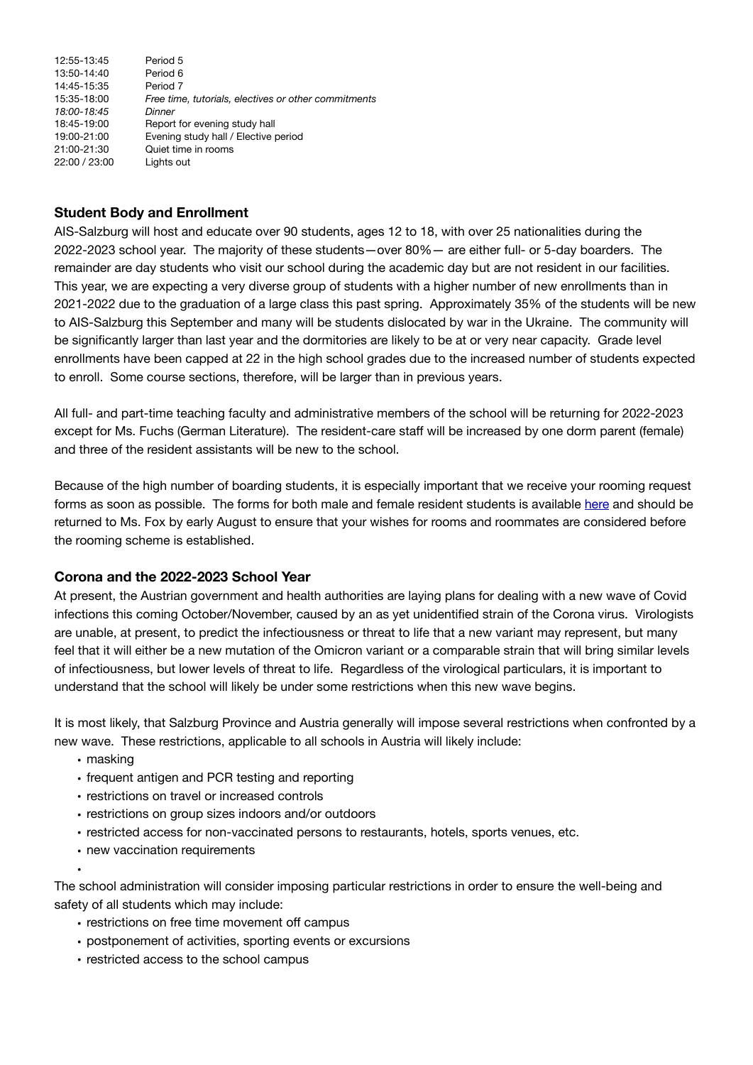| 12:55-13:45   | Period 5                                             |
|---------------|------------------------------------------------------|
| 13:50-14:40   | Period 6                                             |
| 14:45-15:35   | Period 7                                             |
| 15:35-18:00   | Free time, tutorials, electives or other commitments |
| 18:00-18:45   | Dinner                                               |
| 18:45-19:00   | Report for evening study hall                        |
| 19:00-21:00   | Evening study hall / Elective period                 |
| 21:00-21:30   | Quiet time in rooms                                  |
| 22:00 / 23:00 | Lights out                                           |
|               |                                                      |

## **Student Body and Enrollment**

AIS-Salzburg will host and educate over 90 students, ages 12 to 18, with over 25 nationalities during the 2022-2023 school year. The majority of these students—over 80%— are either full- or 5-day boarders. The remainder are day students who visit our school during the academic day but are not resident in our facilities. This year, we are expecting a very diverse group of students with a higher number of new enrollments than in 2021-2022 due to the graduation of a large class this past spring. Approximately 35% of the students will be new to AIS-Salzburg this September and many will be students dislocated by war in the Ukraine. The community will be significantly larger than last year and the dormitories are likely to be at or very near capacity. Grade level enrollments have been capped at 22 in the high school grades due to the increased number of students expected to enroll. Some course sections, therefore, will be larger than in previous years.

All full- and part-time teaching faculty and administrative members of the school will be returning for 2022-2023 except for Ms. Fuchs (German Literature). The resident-care staff will be increased by one dorm parent (female) and three of the resident assistants will be new to the school.

Because of the high number of boarding students, it is especially important that we receive your rooming request forms as soon as possible. The forms for both male and female resident students is available [here](https://www.ais-salzburg.at/info/) and should be returned to Ms. Fox by early August to ensure that your wishes for rooms and roommates are considered before the rooming scheme is established.

## **Corona and the 2022-2023 School Year**

At present, the Austrian government and health authorities are laying plans for dealing with a new wave of Covid infections this coming October/November, caused by an as yet unidentified strain of the Corona virus. Virologists are unable, at present, to predict the infectiousness or threat to life that a new variant may represent, but many feel that it will either be a new mutation of the Omicron variant or a comparable strain that will bring similar levels of infectiousness, but lower levels of threat to life. Regardless of the virological particulars, it is important to understand that the school will likely be under some restrictions when this new wave begins.

It is most likely, that Salzburg Province and Austria generally will impose several restrictions when confronted by a new wave. These restrictions, applicable to all schools in Austria will likely include:

• masking

•

- frequent antigen and PCR testing and reporting
- restrictions on travel or increased controls
- restrictions on group sizes indoors and/or outdoors
- restricted access for non-vaccinated persons to restaurants, hotels, sports venues, etc.
- new vaccination requirements

The school administration will consider imposing particular restrictions in order to ensure the well-being and safety of all students which may include:

- restrictions on free time movement off campus
- postponement of activities, sporting events or excursions
- restricted access to the school campus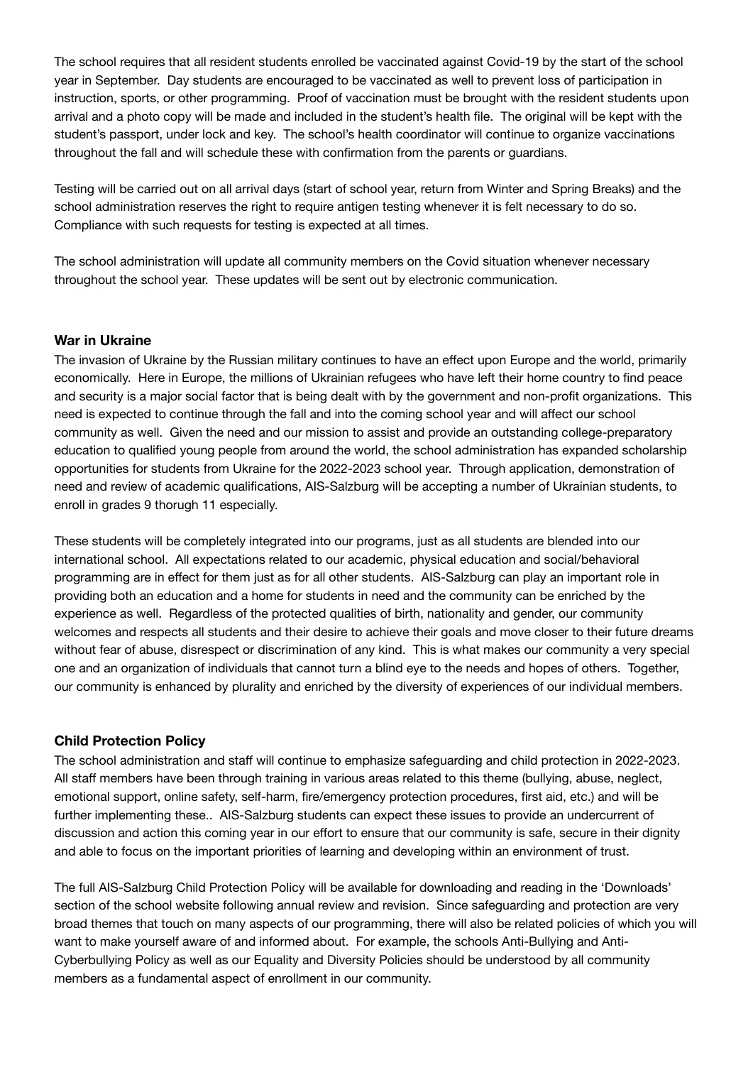The school requires that all resident students enrolled be vaccinated against Covid-19 by the start of the school year in September. Day students are encouraged to be vaccinated as well to prevent loss of participation in instruction, sports, or other programming. Proof of vaccination must be brought with the resident students upon arrival and a photo copy will be made and included in the student's health file. The original will be kept with the student's passport, under lock and key. The school's health coordinator will continue to organize vaccinations throughout the fall and will schedule these with confirmation from the parents or guardians.

Testing will be carried out on all arrival days (start of school year, return from Winter and Spring Breaks) and the school administration reserves the right to require antigen testing whenever it is felt necessary to do so. Compliance with such requests for testing is expected at all times.

The school administration will update all community members on the Covid situation whenever necessary throughout the school year. These updates will be sent out by electronic communication.

#### **War in Ukraine**

The invasion of Ukraine by the Russian military continues to have an effect upon Europe and the world, primarily economically. Here in Europe, the millions of Ukrainian refugees who have left their home country to find peace and security is a major social factor that is being dealt with by the government and non-profit organizations. This need is expected to continue through the fall and into the coming school year and will affect our school community as well. Given the need and our mission to assist and provide an outstanding college-preparatory education to qualified young people from around the world, the school administration has expanded scholarship opportunities for students from Ukraine for the 2022-2023 school year. Through application, demonstration of need and review of academic qualifications, AIS-Salzburg will be accepting a number of Ukrainian students, to enroll in grades 9 thorugh 11 especially.

These students will be completely integrated into our programs, just as all students are blended into our international school. All expectations related to our academic, physical education and social/behavioral programming are in effect for them just as for all other students. AIS-Salzburg can play an important role in providing both an education and a home for students in need and the community can be enriched by the experience as well. Regardless of the protected qualities of birth, nationality and gender, our community welcomes and respects all students and their desire to achieve their goals and move closer to their future dreams without fear of abuse, disrespect or discrimination of any kind. This is what makes our community a very special one and an organization of individuals that cannot turn a blind eye to the needs and hopes of others. Together, our community is enhanced by plurality and enriched by the diversity of experiences of our individual members.

#### **Child Protection Policy**

The school administration and staff will continue to emphasize safeguarding and child protection in 2022-2023. All staff members have been through training in various areas related to this theme (bullying, abuse, neglect, emotional support, online safety, self-harm, fire/emergency protection procedures, first aid, etc.) and will be further implementing these.. AIS-Salzburg students can expect these issues to provide an undercurrent of discussion and action this coming year in our effort to ensure that our community is safe, secure in their dignity and able to focus on the important priorities of learning and developing within an environment of trust.

The full AIS-Salzburg Child Protection Policy will be available for downloading and reading in the 'Downloads' section of the school website following annual review and revision. Since safeguarding and protection are very broad themes that touch on many aspects of our programming, there will also be related policies of which you will want to make yourself aware of and informed about. For example, the schools Anti-Bullying and Anti-Cyberbullying Policy as well as our Equality and Diversity Policies should be understood by all community members as a fundamental aspect of enrollment in our community.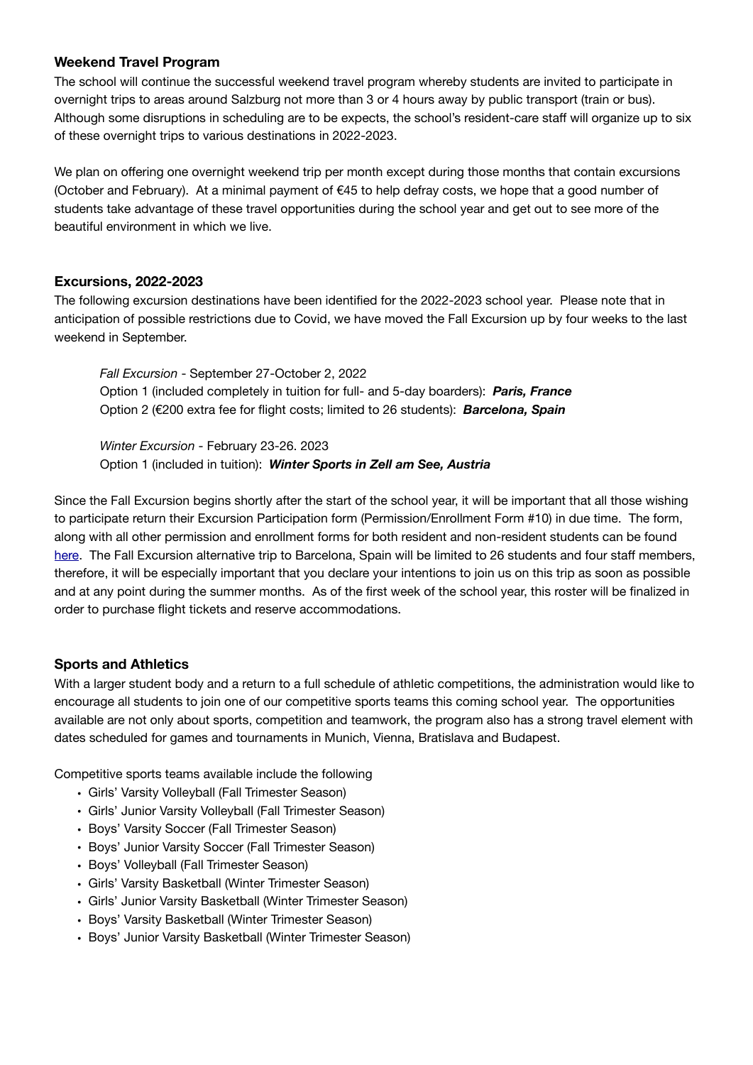#### **Weekend Travel Program**

The school will continue the successful weekend travel program whereby students are invited to participate in overnight trips to areas around Salzburg not more than 3 or 4 hours away by public transport (train or bus). Although some disruptions in scheduling are to be expects, the school's resident-care staff will organize up to six of these overnight trips to various destinations in 2022-2023.

We plan on offering one overnight weekend trip per month except during those months that contain excursions (October and February). At a minimal payment of  $\epsilon$ 45 to help defray costs, we hope that a good number of students take advantage of these travel opportunities during the school year and get out to see more of the beautiful environment in which we live.

#### **Excursions, 2022-2023**

The following excursion destinations have been identified for the 2022-2023 school year. Please note that in anticipation of possible restrictions due to Covid, we have moved the Fall Excursion up by four weeks to the last weekend in September.

*Fall Excursion* - September 27-October 2, 2022 Option 1 (included completely in tuition for full- and 5-day boarders): *Paris, France*  Option 2 (€200 extra fee for flight costs; limited to 26 students): *Barcelona, Spain* 

*Winter Excursion* - February 23-26. 2023 Option 1 (included in tuition): *Winter Sports in Zell am See, Austria* 

Since the Fall Excursion begins shortly after the start of the school year, it will be important that all those wishing to participate return their Excursion Participation form (Permission/Enrollment Form #10) in due time. The form, along with all other permission and enrollment forms for both resident and non-resident students can be found [here](https://www.ais-salzburg.at/info/). The Fall Excursion alternative trip to Barcelona, Spain will be limited to 26 students and four staff members, therefore, it will be especially important that you declare your intentions to join us on this trip as soon as possible and at any point during the summer months. As of the first week of the school year, this roster will be finalized in order to purchase flight tickets and reserve accommodations.

## **Sports and Athletics**

With a larger student body and a return to a full schedule of athletic competitions, the administration would like to encourage all students to join one of our competitive sports teams this coming school year. The opportunities available are not only about sports, competition and teamwork, the program also has a strong travel element with dates scheduled for games and tournaments in Munich, Vienna, Bratislava and Budapest.

Competitive sports teams available include the following

- Girls' Varsity Volleyball (Fall Trimester Season)
- Girls' Junior Varsity Volleyball (Fall Trimester Season)
- Boys' Varsity Soccer (Fall Trimester Season)
- Boys' Junior Varsity Soccer (Fall Trimester Season)
- Boys' Volleyball (Fall Trimester Season)
- Girls' Varsity Basketball (Winter Trimester Season)
- Girls' Junior Varsity Basketball (Winter Trimester Season)
- Boys' Varsity Basketball (Winter Trimester Season)
- Boys' Junior Varsity Basketball (Winter Trimester Season)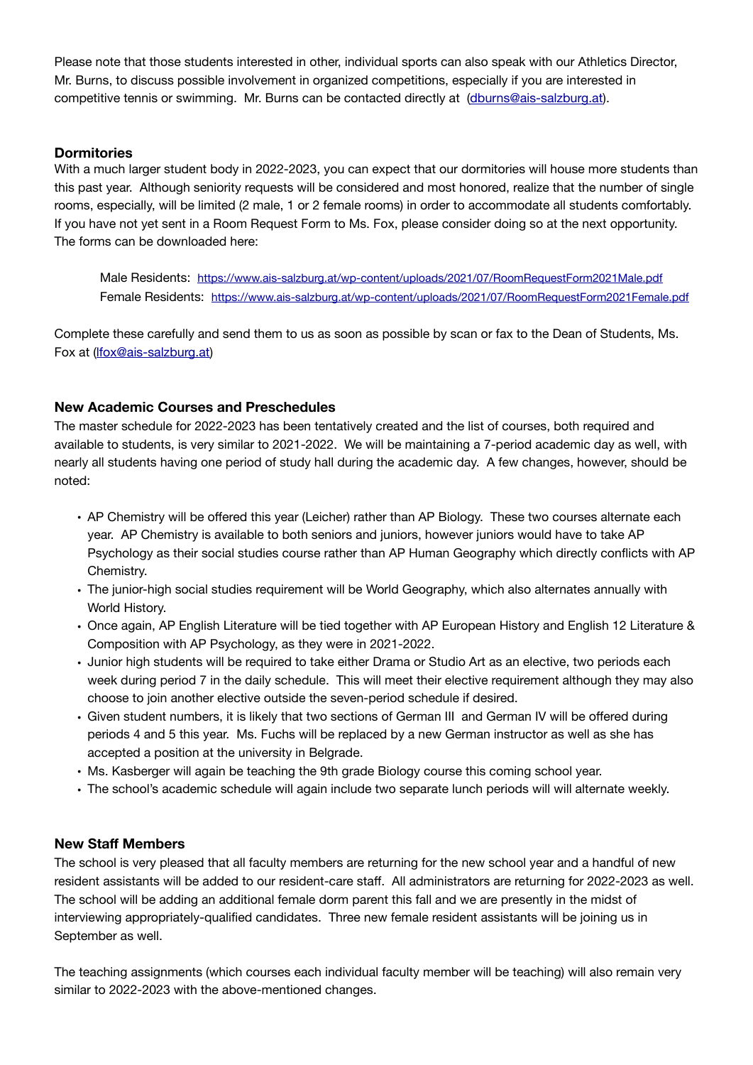Please note that those students interested in other, individual sports can also speak with our Athletics Director, Mr. Burns, to discuss possible involvement in organized competitions, especially if you are interested in competitive tennis or swimming. Mr. Burns can be contacted directly at ([dburns@ais-salzburg.at\)](mailto:dburns@ais-salzburg.at).

#### **Dormitories**

With a much larger student body in 2022-2023, you can expect that our dormitories will house more students than this past year. Although seniority requests will be considered and most honored, realize that the number of single rooms, especially, will be limited (2 male, 1 or 2 female rooms) in order to accommodate all students comfortably. If you have not yet sent in a Room Request Form to Ms. Fox, please consider doing so at the next opportunity. The forms can be downloaded here:

Male Residents: <https://www.ais-salzburg.at/wp-content/uploads/2021/07/RoomRequestForm2021Male.pdf> Female Residents: <https://www.ais-salzburg.at/wp-content/uploads/2021/07/RoomRequestForm2021Female.pdf>

Complete these carefully and send them to us as soon as possible by scan or fax to the Dean of Students, Ms. Fox at [\(lfox@ais-salzburg.at\)](mailto:office@ais-salzburg.at)

#### **New Academic Courses and Preschedules**

The master schedule for 2022-2023 has been tentatively created and the list of courses, both required and available to students, is very similar to 2021-2022. We will be maintaining a 7-period academic day as well, with nearly all students having one period of study hall during the academic day. A few changes, however, should be noted:

- **•** AP Chemistry will be offered this year (Leicher) rather than AP Biology. These two courses alternate each year. AP Chemistry is available to both seniors and juniors, however juniors would have to take AP Psychology as their social studies course rather than AP Human Geography which directly conflicts with AP Chemistry.
- **•** The junior-high social studies requirement will be World Geography, which also alternates annually with World History.
- **•** Once again, AP English Literature will be tied together with AP European History and English 12 Literature & Composition with AP Psychology, as they were in 2021-2022.
- **•** Junior high students will be required to take either Drama or Studio Art as an elective, two periods each week during period 7 in the daily schedule. This will meet their elective requirement although they may also choose to join another elective outside the seven-period schedule if desired.
- **•** Given student numbers, it is likely that two sections of German III and German IV will be offered during periods 4 and 5 this year. Ms. Fuchs will be replaced by a new German instructor as well as she has accepted a position at the university in Belgrade.
- **•** Ms. Kasberger will again be teaching the 9th grade Biology course this coming school year.
- **•** The school's academic schedule will again include two separate lunch periods will will alternate weekly.

## **New Staff Members**

The school is very pleased that all faculty members are returning for the new school year and a handful of new resident assistants will be added to our resident-care staff. All administrators are returning for 2022-2023 as well. The school will be adding an additional female dorm parent this fall and we are presently in the midst of interviewing appropriately-qualified candidates. Three new female resident assistants will be joining us in September as well.

The teaching assignments (which courses each individual faculty member will be teaching) will also remain very similar to 2022-2023 with the above-mentioned changes.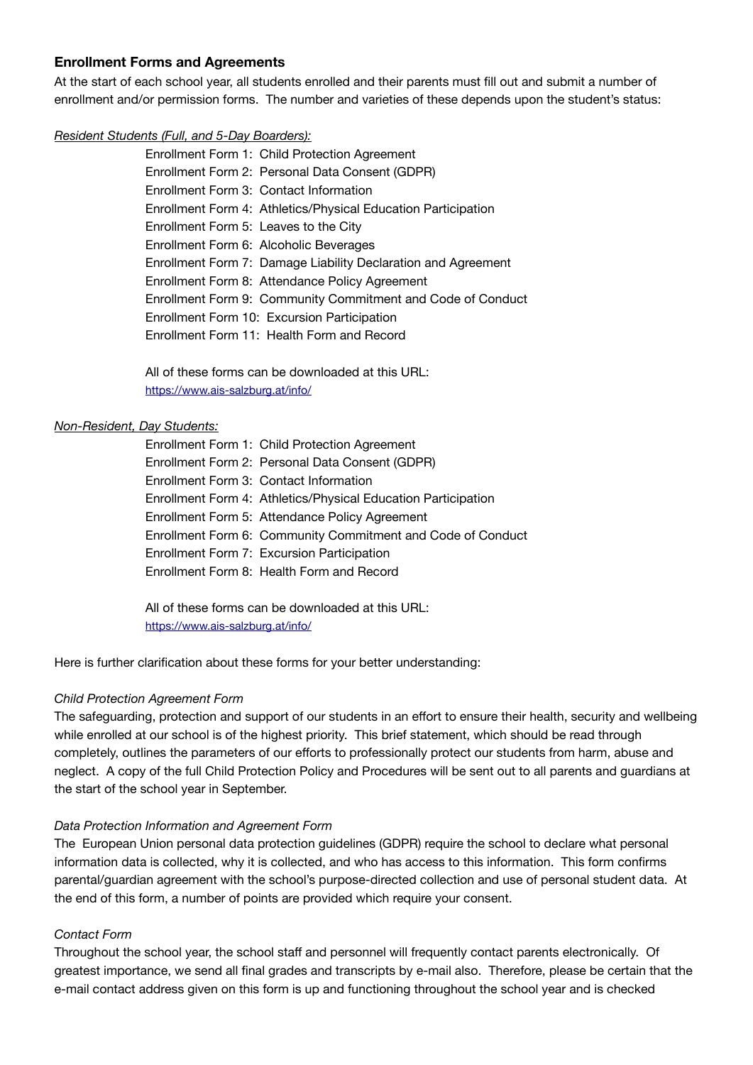## **Enrollment Forms and Agreements**

At the start of each school year, all students enrolled and their parents must fill out and submit a number of enrollment and/or permission forms. The number and varieties of these depends upon the student's status:

#### *Resident Students (Full, and 5-Day Boarders):*

 Enrollment Form 1: Child Protection Agreement Enrollment Form 2: Personal Data Consent (GDPR) Enrollment Form 3: Contact Information Enrollment Form 4: Athletics/Physical Education Participation Enrollment Form 5: Leaves to the City Enrollment Form 6: Alcoholic Beverages Enrollment Form 7: Damage Liability Declaration and Agreement Enrollment Form 8: Attendance Policy Agreement Enrollment Form 9: Community Commitment and Code of Conduct Enrollment Form 10: Excursion Participation Enrollment Form 11: Health Form and Record

 All of these forms can be downloaded at this URL: [https://www.ais-salzburg.at/info/](https://www.ais-salzburg.at/wp-content/uploads/2021/07/PermissionFormsBoarders2021.pdf)

#### *Non-Resident, Day Students:*

 Enrollment Form 1: Child Protection Agreement Enrollment Form 2: Personal Data Consent (GDPR) Enrollment Form 3: Contact Information Enrollment Form 4: Athletics/Physical Education Participation Enrollment Form 5: Attendance Policy Agreement Enrollment Form 6: Community Commitment and Code of Conduct Enrollment Form 7: Excursion Participation Enrollment Form 8: Health Form and Record

 All of these forms can be downloaded at this URL: [https://www.ais-salzburg.at/info/](https://www.ais-salzburg.at/wp-content/uploads/2021/07/PermissionFormsDay2021.pdf)

Here is further clarification about these forms for your better understanding:

#### *Child Protection Agreement Form*

The safeguarding, protection and support of our students in an effort to ensure their health, security and wellbeing while enrolled at our school is of the highest priority. This brief statement, which should be read through completely, outlines the parameters of our efforts to professionally protect our students from harm, abuse and neglect. A copy of the full Child Protection Policy and Procedures will be sent out to all parents and guardians at the start of the school year in September.

## *Data Protection Information and Agreement Form*

The European Union personal data protection guidelines (GDPR) require the school to declare what personal information data is collected, why it is collected, and who has access to this information. This form confirms parental/guardian agreement with the school's purpose-directed collection and use of personal student data. At the end of this form, a number of points are provided which require your consent.

#### *Contact Form*

Throughout the school year, the school staff and personnel will frequently contact parents electronically. Of greatest importance, we send all final grades and transcripts by e-mail also. Therefore, please be certain that the e-mail contact address given on this form is up and functioning throughout the school year and is checked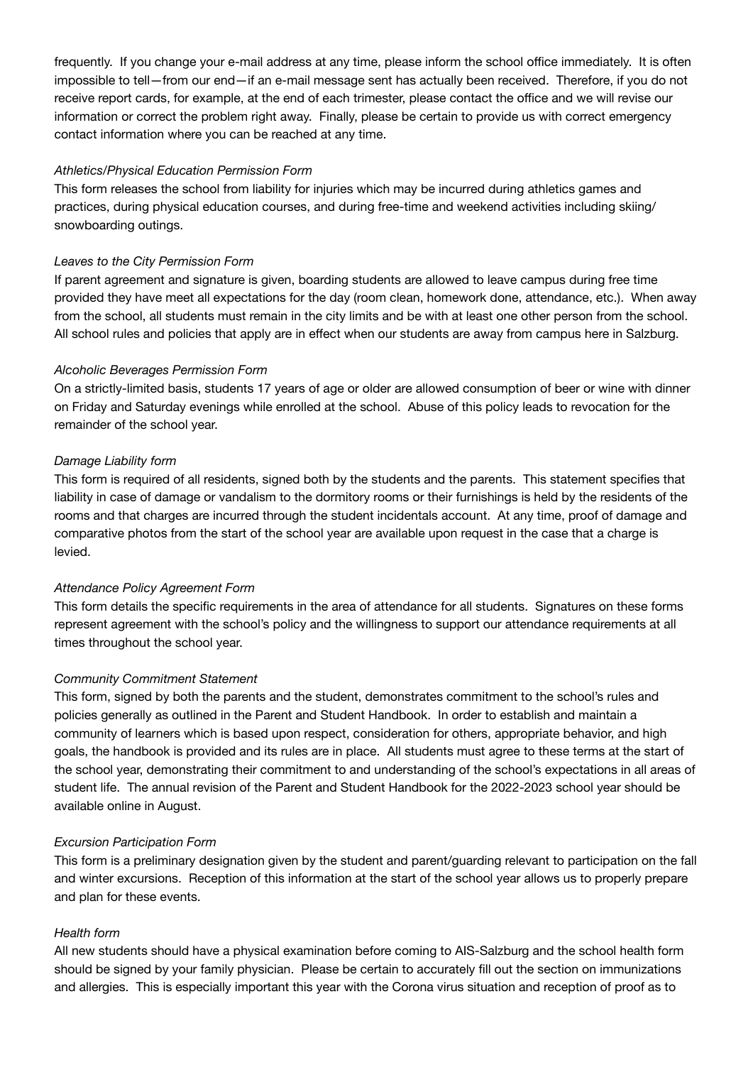frequently. If you change your e-mail address at any time, please inform the school office immediately. It is often impossible to tell—from our end—if an e-mail message sent has actually been received. Therefore, if you do not receive report cards, for example, at the end of each trimester, please contact the office and we will revise our information or correct the problem right away. Finally, please be certain to provide us with correct emergency contact information where you can be reached at any time.

#### *Athletics/Physical Education Permission Form*

This form releases the school from liability for injuries which may be incurred during athletics games and practices, during physical education courses, and during free-time and weekend activities including skiing/ snowboarding outings.

#### *Leaves to the City Permission Form*

If parent agreement and signature is given, boarding students are allowed to leave campus during free time provided they have meet all expectations for the day (room clean, homework done, attendance, etc.). When away from the school, all students must remain in the city limits and be with at least one other person from the school. All school rules and policies that apply are in effect when our students are away from campus here in Salzburg.

#### *Alcoholic Beverages Permission Form*

On a strictly-limited basis, students 17 years of age or older are allowed consumption of beer or wine with dinner on Friday and Saturday evenings while enrolled at the school. Abuse of this policy leads to revocation for the remainder of the school year.

#### *Damage Liability form*

This form is required of all residents, signed both by the students and the parents. This statement specifies that liability in case of damage or vandalism to the dormitory rooms or their furnishings is held by the residents of the rooms and that charges are incurred through the student incidentals account. At any time, proof of damage and comparative photos from the start of the school year are available upon request in the case that a charge is levied.

#### *Attendance Policy Agreement Form*

This form details the specific requirements in the area of attendance for all students. Signatures on these forms represent agreement with the school's policy and the willingness to support our attendance requirements at all times throughout the school year.

#### *Community Commitment Statement*

This form, signed by both the parents and the student, demonstrates commitment to the school's rules and policies generally as outlined in the Parent and Student Handbook. In order to establish and maintain a community of learners which is based upon respect, consideration for others, appropriate behavior, and high goals, the handbook is provided and its rules are in place. All students must agree to these terms at the start of the school year, demonstrating their commitment to and understanding of the school's expectations in all areas of student life. The annual revision of the Parent and Student Handbook for the 2022-2023 school year should be available online in August.

#### *Excursion Participation Form*

This form is a preliminary designation given by the student and parent/guarding relevant to participation on the fall and winter excursions. Reception of this information at the start of the school year allows us to properly prepare and plan for these events.

## *Health form*

All new students should have a physical examination before coming to AIS-Salzburg and the school health form should be signed by your family physician. Please be certain to accurately fill out the section on immunizations and allergies. This is especially important this year with the Corona virus situation and reception of proof as to